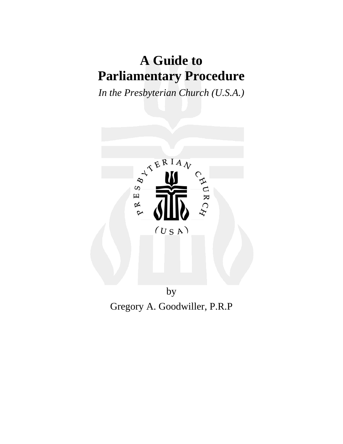# **A Guide to Parliamentary Procedure**

*In the Presbyterian Church (U.S.A.)* 



Gregory A. Goodwiller, P.R.P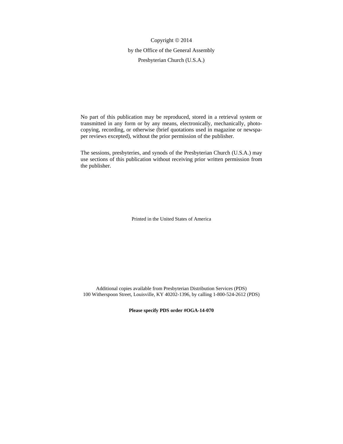Copyright  $@$  2014 by the Office of the General Assembly Presbyterian Church (U.S.A.)

No part of this publication may be reproduced, stored in a retrieval system or transmitted in any form or by any means, electronically, mechanically, photocopying, recording, or otherwise (brief quotations used in magazine or newspaper reviews excepted), without the prior permission of the publisher.

The sessions, presbyteries, and synods of the Presbyterian Church (U.S.A.) may use sections of this publication without receiving prior written permission from the publisher.

Printed in the United States of America

Additional copies available from Presbyterian Distribution Services (PDS) 100 Witherspoon Street, Louisville, KY 40202-1396, by calling 1-800-524-2612 (PDS)

**Please specify PDS order #OGA-14-070**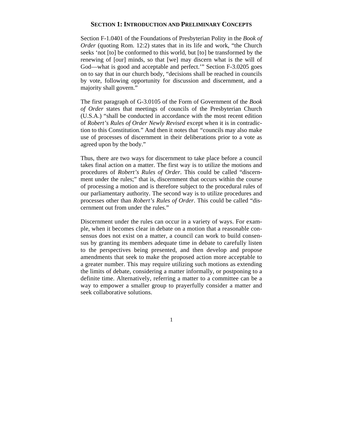# **SECTION 1: INTRODUCTION AND PRELIMINARY CONCEPTS**

Section F-1.0401 of the Foundations of Presbyterian Polity in the *Book of Order* (quoting Rom. 12:2) states that in its life and work, "the Church" seeks 'not [to] be conformed to this world, but [to] be transformed by the renewing of [our] minds, so that [we] may discern what is the will of God—what is good and acceptable and perfect.'" Section F-3.0205 goes on to say that in our church body, "decisions shall be reached in councils by vote, following opportunity for discussion and discernment, and a majority shall govern."

The first paragraph of G-3.0105 of the Form of Government of the *Book of Order* states that meetings of councils of the Presbyterian Church (U.S.A.) "shall be conducted in accordance with the most recent edition of *Robert's Rules of Order Newly Revised* except when it is in contradiction to this Constitution*.*" And then it notes that *"*councils may also make use of processes of discernment in their deliberations prior to a vote as agreed upon by the body."

Thus, there are two ways for discernment to take place before a council takes final action on a matter. The first way is to utilize the motions and procedures of *Robert's Rules of Order*. This could be called "discernment under the rules;" that is, discernment that occurs within the course of processing a motion and is therefore subject to the procedural rules of our parliamentary authority. The second way is to utilize procedures and processes other than *Robert's Rules of Order*. This could be called "discernment out from under the rules."

Discernment under the rules can occur in a variety of ways. For example, when it becomes clear in debate on a motion that a reasonable consensus does not exist on a matter, a council can work to build consensus by granting its members adequate time in debate to carefully listen to the perspectives being presented, and then develop and propose amendments that seek to make the proposed action more acceptable to a greater number. This may require utilizing such motions as extending the limits of debate, considering a matter informally, or postponing to a definite time. Alternatively, referring a matter to a committee can be a way to empower a smaller group to prayerfully consider a matter and seek collaborative solutions.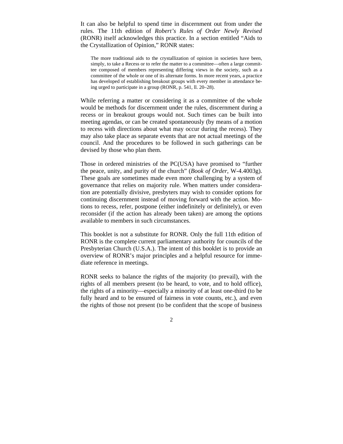It can also be helpful to spend time in discernment out from under the rules. The 11th edition of *Robert's Rules of Order Newly Revised* (RONR) itself acknowledges this practice. In a section entitled "Aids to the Crystallization of Opinion," RONR states:

The more traditional aids to the crystallization of opinion in societies have been, simply, to take a Recess or to refer the matter to a committee—often a large committee composed of members representing differing views in the society, such as a committee of the whole or one of its alternate forms. In more recent years, a practice has developed of establishing breakout groups with every member in attendance being urged to participate in a group (RONR, p. 541, ll. 20–28).

While referring a matter or considering it as a committee of the whole would be methods for discernment under the rules, discernment during a recess or in breakout groups would not. Such times can be built into meeting agendas, or can be created spontaneously (by means of a motion to recess with directions about what may occur during the recess). They may also take place as separate events that are not actual meetings of the council. And the procedures to be followed in such gatherings can be devised by those who plan them.

Those in ordered ministries of the PC(USA) have promised to "further the peace, unity, and purity of the church" (*Book of Order*, W-4.4003g). These goals are sometimes made even more challenging by a system of governance that relies on majority rule. When matters under consideration are potentially divisive, presbyters may wish to consider options for continuing discernment instead of moving forward with the action. Motions to recess, refer, postpone (either indefinitely or definitely), or even reconsider (if the action has already been taken) are among the options available to members in such circumstances.

This booklet is not a substitute for RONR. Only the full 11th edition of RONR is the complete current parliamentary authority for councils of the Presbyterian Church (U.S.A.). The intent of this booklet is to provide an overview of RONR's major principles and a helpful resource for immediate reference in meetings.

RONR seeks to balance the rights of the majority (to prevail), with the rights of all members present (to be heard, to vote, and to hold office), the rights of a minority—especially a minority of at least one-third (to be fully heard and to be ensured of fairness in vote counts, etc.), and even the rights of those not present (to be confident that the scope of business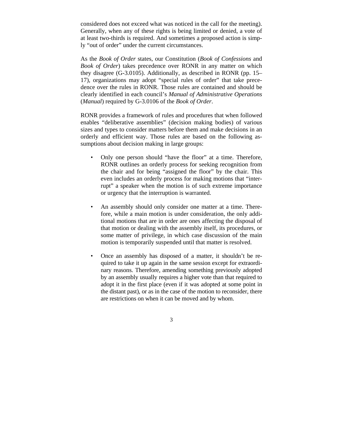considered does not exceed what was noticed in the call for the meeting). Generally, when any of these rights is being limited or denied, a vote of at least two-thirds is required. And sometimes a proposed action is simply "out of order" under the current circumstances.

As the *Book of Order* states, our Constitution (*Book of Confessions* and *Book of Order*) takes precedence over RONR in any matter on which they disagree (G-3.0105). Additionally, as described in RONR (pp. 15– 17), organizations may adopt "special rules of order" that take precedence over the rules in RONR. Those rules are contained and should be clearly identified in each council's *Manual of Administrative Operations* (*Manual*) required by G-3.0106 of the *Book of Order*.

RONR provides a framework of rules and procedures that when followed enables "deliberative assemblies" (decision making bodies) of various sizes and types to consider matters before them and make decisions in an orderly and efficient way. Those rules are based on the following assumptions about decision making in large groups:

- Only one person should "have the floor" at a time. Therefore, RONR outlines an orderly process for seeking recognition from the chair and for being "assigned the floor" by the chair. This even includes an orderly process for making motions that "interrupt" a speaker when the motion is of such extreme importance or urgency that the interruption is warranted.
- An assembly should only consider one matter at a time. Therefore, while a main motion is under consideration, the only additional motions that are in order are ones affecting the disposal of that motion or dealing with the assembly itself, its procedures, or some matter of privilege, in which case discussion of the main motion is temporarily suspended until that matter is resolved.
- Once an assembly has disposed of a matter, it shouldn't be required to take it up again in the same session except for extraordinary reasons. Therefore, amending something previously adopted by an assembly usually requires a higher vote than that required to adopt it in the first place (even if it was adopted at some point in the distant past), or as in the case of the motion to reconsider, there are restrictions on when it can be moved and by whom.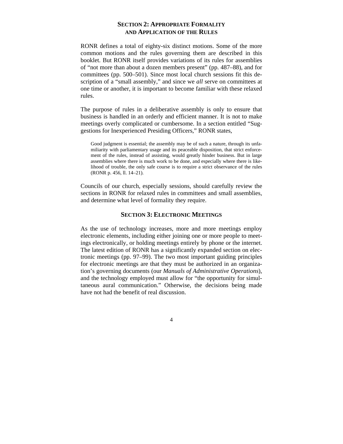# **SECTION 2: APPROPRIATE FORMALITY AND APPLICATION OF THE RULES**

RONR defines a total of eighty-six distinct motions. Some of the more common motions and the rules governing them are described in this booklet. But RONR itself provides variations of its rules for assemblies of "not more than about a dozen members present" (pp. 487–88), and for committees (pp. 500–501). Since most local church sessions fit this description of a "small assembly," and since we *all* serve on committees at one time or another, it is important to become familiar with these relaxed rules.

The purpose of rules in a deliberative assembly is only to ensure that business is handled in an orderly and efficient manner. It is not to make meetings overly complicated or cumbersome. In a section entitled "Suggestions for Inexperienced Presiding Officers," RONR states,

Good judgment is essential; the assembly may be of such a nature, through its unfamiliarity with parliamentary usage and its peaceable disposition, that strict enforcement of the rules, instead of assisting, would greatly hinder business. But in large assemblies where there is much work to be done, and especially where there is likelihood of trouble, the only safe course is to require a strict observance of the rules (RONR p. 456, ll. 14–21).

Councils of our church, especially sessions, should carefully review the sections in RONR for relaxed rules in committees and small assemblies, and determine what level of formality they require.

## **SECTION 3: ELECTRONIC MEETINGS**

As the use of technology increases, more and more meetings employ electronic elements, including either joining one or more people to meetings electronically, or holding meetings entirely by phone or the internet. The latest edition of RONR has a significantly expanded section on electronic meetings (pp. 97–99). The two most important guiding principles for electronic meetings are that they must be authorized in an organization's governing documents (our *Manuals of Administrative Operations*), and the technology employed must allow for "the opportunity for simultaneous aural communication." Otherwise, the decisions being made have not had the benefit of real discussion.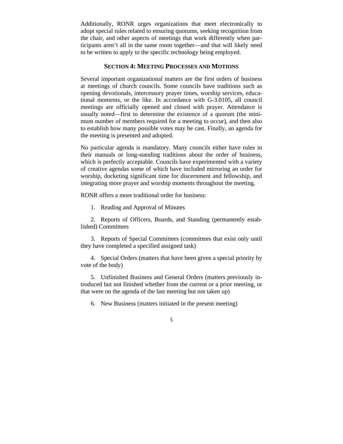Additionally, RONR urges organizations that meet electronically to adopt special rules related to ensuring quorums, seeking recognition from the chair, and other aspects of meetings that work differently when participants aren't all in the same room together—and that will likely need to be written to apply to the specific technology being employed.

#### **SECTION 4: MEETING PROCESSES AND MOTIONS**

Several important organizational matters are the first orders of business at meetings of church councils. Some councils have traditions such as opening devotionals, intercessory prayer times, worship services, educational moments, or the like. In accordance with G-3.0105, all council meetings are officially opened and closed with prayer. Attendance is usually noted—first to determine the existence of a quorum (the minimum number of members required for a meeting to occur), and then also to establish how many possible votes may be cast. Finally, an agenda for the meeting is presented and adopted.

No particular agenda is mandatory. Many councils either have rules in their manuals or long-standing traditions about the order of business, which is perfectly acceptable. Councils have experimented with a variety of creative agendas some of which have included mirroring an order for worship, docketing significant time for discernment and fellowship, and integrating more prayer and worship moments throughout the meeting.

RONR offers a more traditional order for business:

1. Reading and Approval of Minutes

2. Reports of Officers, Boards, and Standing (permanently established) Committees

3. Reports of Special Committees (committees that exist only until they have completed a specified assigned task)

4. Special Orders (matters that have been given a special priority by vote of the body)

5. Unfinished Business and General Orders (matters previously introduced but not finished whether from the current or a prior meeting, or that were on the agenda of the last meeting but not taken up)

6. New Business (matters initiated in the present meeting)

<sup>5</sup>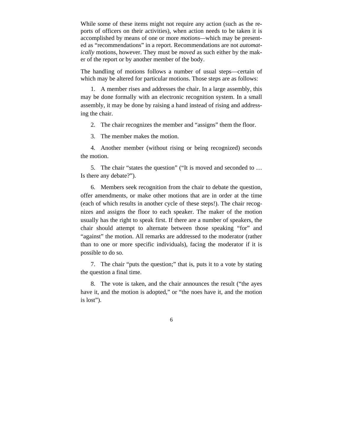While some of these items might not require any action (such as the reports of officers on their activities), when action needs to be taken it is accomplished by means of one or more *motions—*which may be presented as "recommendations" in a report. Recommendations are not *automatically* motions, however. They must be *moved* as such either by the maker of the report or by another member of the body.

The handling of motions follows a number of usual steps—certain of which may be altered for particular motions. Those steps are as follows:

1. A member rises and addresses the chair. In a large assembly, this may be done formally with an electronic recognition system. In a small assembly, it may be done by raising a hand instead of rising and addressing the chair.

2. The chair recognizes the member and "assigns" them the floor.

3. The member makes the motion.

4. Another member (without rising or being recognized) seconds the motion.

5. The chair "states the question" ("It is moved and seconded to … Is there any debate?").

6. Members seek recognition from the chair to debate the question, offer amendments, or make other motions that are in order at the time (each of which results in another cycle of these steps!). The chair recognizes and assigns the floor to each speaker. The maker of the motion usually has the right to speak first. If there are a number of speakers, the chair should attempt to alternate between those speaking "for" and "against" the motion. All remarks are addressed to the moderator (rather than to one or more specific individuals), facing the moderator if it is possible to do so.

7. The chair "puts the question;" that is, puts it to a vote by stating the question a final time.

8. The vote is taken, and the chair announces the result ("the ayes have it, and the motion is adopted," or "the noes have it, and the motion is lost").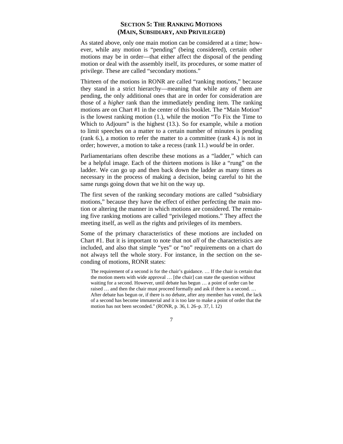# **SECTION 5: THE RANKING MOTIONS (MAIN, SUBSIDIARY, AND PRIVILEGED)**

As stated above, only one main motion can be considered at a time; however, while any motion is "pending" (being considered), certain other motions may be in order—that either affect the disposal of the pending motion or deal with the assembly itself, its procedures, or some matter of privilege. These are called "secondary motions."

Thirteen of the motions in RONR are called "ranking motions," because they stand in a strict hierarchy—meaning that while any of them are pending, the only additional ones that are in order for consideration are those of a *higher* rank than the immediately pending item. The ranking motions are on [Chart #1](#page-9-0) in the center of this booklet. The "Main Motion" is the lowest ranking motion [\(1.\),](#page-9-0) while the motion "To Fix the Time to Which to Adjourn" is the highest [\(13.\).](#page-9-0) So for example, while a motion to limit speeches on a matter to a certain number of minutes is pending (ran[k 6.\),](#page-9-0) a motion to refer the matter to a committee (rank [4.\)](#page-9-0) is not in order; however, a motion to take a recess (rank [11.\)](#page-9-0) *would* be in order.

Parliamentarians often describe these motions as a "ladder," which can be a helpful image. Each of the thirteen motions is like a "rung" on the ladder. We can go up and then back down the ladder as many times as necessary in the process of making a decision, being careful to hit the same rungs going down that we hit on the way up.

The first seven of the ranking secondary motions are called "subsidiary motions," because they have the effect of either perfecting the main motion or altering the manner in which motions are considered. The remaining five ranking motions are called "privileged motions." They affect the meeting itself, as well as the rights and privileges of its members.

Some of the primary characteristics of these motions are included on [Chart #1.](#page-9-0) But it is important to note that not *all* of the characteristics are included, and also that simple "yes" or "no" requirements on a chart do not always tell the whole story. For instance, in the section on the seconding of motions, RONR states:

The requirement of a second is for the chair's guidance. … If the chair is certain that the motion meets with wide approval … [the chair] can state the question without waiting for a second. However, until debate has begun … a point of order can be raised … and then the chair must proceed formally and ask if there is a second. … After debate has begun or, if there is no debate, after any member has voted, the lack of a second has become immaterial and it is too late to make a point of order that the motion has not been seconded." (RONR, p. 36, l. 26–p. 37, l. 12)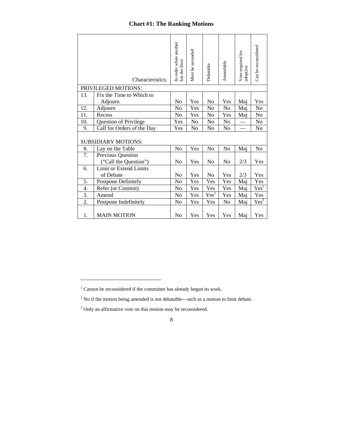# **Chart #1: The Ranking Motions**

<span id="page-9-0"></span>

|                            | Characteristics:                                | In order when another<br>has the floor | Must be seconded | Debatable | Amendable      | Vote required for<br>adoption | Can be reconsidered |  |  |  |  |
|----------------------------|-------------------------------------------------|----------------------------------------|------------------|-----------|----------------|-------------------------------|---------------------|--|--|--|--|
| 13.                        | PRIVILEGED MOTIONS:<br>Fix the Time to Which to |                                        |                  |           |                |                               |                     |  |  |  |  |
|                            | Adjourn                                         | N <sub>o</sub>                         | Yes              | No        | Yes            | Maj                           | Yes                 |  |  |  |  |
| 12.                        | Adjourn                                         | N <sub>o</sub>                         | Yes              | No        | N <sub>0</sub> | Mai                           | No                  |  |  |  |  |
| 11.                        | Recess                                          | No                                     | Yes              | No        | Yes            | Maj                           | No                  |  |  |  |  |
| 10.                        | Question of Privilege                           | Yes                                    | No               | No        | N <sub>0</sub> |                               | No                  |  |  |  |  |
| 9.                         | Call for Orders of the Day                      | Yes                                    | No               | No        | No             |                               | No                  |  |  |  |  |
| <b>SUBSIDIARY MOTIONS:</b> |                                                 |                                        |                  |           |                |                               |                     |  |  |  |  |
| 8.                         | Lay on the Table                                | No                                     | Yes              | No        | No             | Maj                           | No                  |  |  |  |  |
| 7.                         | Previous Question                               |                                        |                  |           |                |                               |                     |  |  |  |  |
|                            | ("Call the Question")                           | N <sub>0</sub>                         | Yes              | No        | N <sub>0</sub> | 2/3                           | Yes                 |  |  |  |  |
| 6.                         | Limit or Extend Limits                          |                                        |                  |           |                |                               |                     |  |  |  |  |
|                            | of Debate                                       | N <sub>o</sub>                         | Yes              | No        | Yes            | 2/3                           | Yes                 |  |  |  |  |
| 5.                         | <b>Postpone Definitely</b>                      | No                                     | Yes              | Yes       | Yes            | Maj                           | Yes                 |  |  |  |  |
| 4.                         | Refer (or Commit)                               | No                                     | Yes              | Yes       | Yes            | Mai                           | Yes <sup>1</sup>    |  |  |  |  |
| 3.                         | Amend                                           | No                                     | Yes              | $Yes^2$   | Yes            | Maj                           | Yes                 |  |  |  |  |
| $\overline{2}$ .           | Postpone Indefinitely                           | No                                     | Yes              | Yes       | No             | Maj                           | Yes <sup>3</sup>    |  |  |  |  |
| 1.                         | <b>MAIN MOTION</b>                              | No                                     | Yes              | Yes       | Yes            | Maj                           | Yes                 |  |  |  |  |

 $\overline{a}$ 

 $1$  Cannot be reconsidered if the committee has already begun its work.

 $2^2$  No if the motion being amended is not debatable—such as a motion to limit debate.

<sup>&</sup>lt;sup>3</sup> Only an affirmative vote on this motion may be reconsidered.

<sup>8</sup>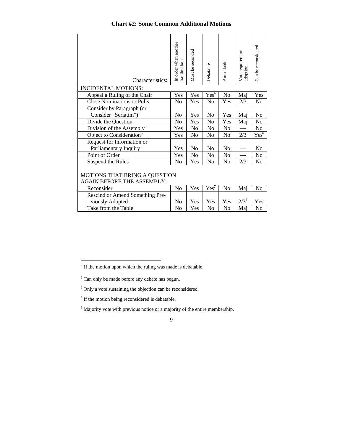# **Chart #2: Some Common Additional Motions**

<span id="page-10-0"></span>

|                                                                    | Characteristics:<br><b>INCIDENTAL MOTIONS:</b>      | In order when another<br>has the floor | Must be seconded | Debatable        | Amendable      | Vote required for<br>adoption | Can be reconsidered  |  |  |  |
|--------------------------------------------------------------------|-----------------------------------------------------|----------------------------------------|------------------|------------------|----------------|-------------------------------|----------------------|--|--|--|
|                                                                    | Appeal a Ruling of the Chair                        | Yes                                    | Yes              | Yes <sup>4</sup> | N <sub>o</sub> | Maj                           | Yes                  |  |  |  |
|                                                                    | <b>Close Nominations or Polls</b>                   | N <sub>0</sub>                         | Yes              | N <sub>0</sub>   | Yes            | 2/3                           | N <sub>0</sub>       |  |  |  |
|                                                                    | Consider by Paragraph (or                           |                                        |                  |                  |                |                               |                      |  |  |  |
|                                                                    | Consider "Seriatim")                                | No                                     | Yes              | No               | Yes            | Maj                           | N <sub>0</sub>       |  |  |  |
|                                                                    | Divide the Question                                 | N <sub>0</sub>                         | Yes              | N <sub>0</sub>   | Yes            | Maj                           | N <sub>0</sub>       |  |  |  |
|                                                                    | Division of the Assembly                            | Yes                                    | No               | No               | N <sub>o</sub> |                               | No                   |  |  |  |
|                                                                    | Object to Consideration <sup>5</sup>                | Yes                                    | N <sub>0</sub>   | N <sub>0</sub>   | N <sub>0</sub> | 2/3                           | $Yes^{\overline{6}}$ |  |  |  |
|                                                                    | Request for Information or<br>Parliamentary Inquiry | Yes                                    | No               | No               | N <sub>0</sub> |                               | No                   |  |  |  |
|                                                                    | Point of Order                                      | Yes                                    | N <sub>0</sub>   | N <sub>0</sub>   | N <sub>0</sub> |                               | N <sub>0</sub>       |  |  |  |
|                                                                    | Suspend the Rules                                   | No                                     | Yes              | N <sub>0</sub>   | N <sub>0</sub> | 2/3                           | N <sub>0</sub>       |  |  |  |
| MOTIONS THAT BRING A QUESTION<br><b>AGAIN BEFORE THE ASSEMBLY:</b> |                                                     |                                        |                  |                  |                |                               |                      |  |  |  |
|                                                                    | Reconsider                                          | No                                     | Yes              | Yes'             | N <sub>o</sub> | Maj                           | N <sub>0</sub>       |  |  |  |
|                                                                    | Rescind or Amend Something Pre-                     |                                        |                  |                  |                |                               |                      |  |  |  |
|                                                                    | viously Adopted                                     | N <sub>0</sub>                         | Yes              | Yes              | Yes            | $2/3^8$                       | Yes                  |  |  |  |
|                                                                    | Take from the Table                                 | N <sub>0</sub>                         | Yes              | No               | No             | Maj                           | No                   |  |  |  |

 $\overline{a}$ 

 $4$  If the motion upon which the ruling was made is debatable.

 $<sup>5</sup>$  Can only be made before any debate has begun.</sup>

 $6$  Only a vote sustaining the objection can be reconsidered.

 $7$  If the motion being reconsidered is debatable.

<sup>&</sup>lt;sup>8</sup> Majority vote with previous notice or a majority of the entire membership.

<sup>9</sup>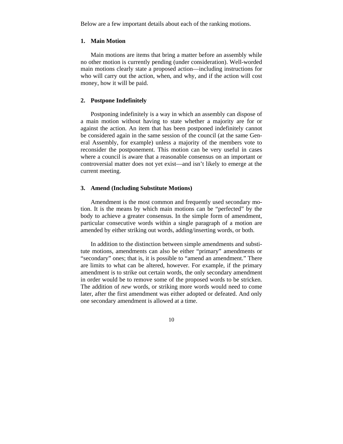Below are a few important details about each of the ranking motions.

## **1. Main Motion**

Main motions are items that bring a matter before an assembly while no other motion is currently pending (under consideration). Well-worded main motions clearly state a proposed action—including instructions for who will carry out the action, when, and why, and if the action will cost money, how it will be paid.

#### **2. Postpone Indefinitely**

Postponing indefinitely is a way in which an assembly can dispose of a main motion without having to state whether a majority are for or against the action. An item that has been postponed indefinitely cannot be considered again in the same session of the council (at the same General Assembly, for example) unless a majority of the members vote to reconsider the postponement. This motion can be very useful in cases where a council is aware that a reasonable consensus on an important or controversial matter does not yet exist—and isn't likely to emerge at the current meeting.

# **3. Amend (Including Substitute Motions)**

Amendment is the most common and frequently used secondary motion. It is the means by which main motions can be "perfected" by the body to achieve a greater consensus. In the simple form of amendment, particular consecutive words within a single paragraph of a motion are amended by either striking out words, adding/inserting words, or both.

In addition to the distinction between simple amendments and substitute motions, amendments can also be either "primary" amendments or "secondary" ones; that is, it is possible to "amend an amendment." There are limits to what can be altered, however. For example, if the primary amendment is to strike out certain words, the only secondary amendment in order would be to remove some of the proposed words to be stricken. The addition of *new* words, or striking more words would need to come later, after the first amendment was either adopted or defeated. And only one secondary amendment is allowed at a time.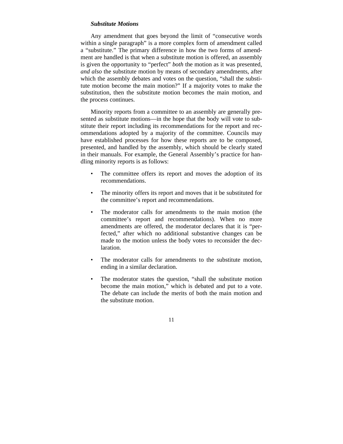## *Substitute Motions*

Any amendment that goes beyond the limit of "consecutive words within a single paragraph" is a more complex form of amendment called a "substitute." The primary difference in how the two forms of amendment are handled is that when a substitute motion is offered, an assembly is given the opportunity to "perfect" *both* the motion as it was presented, *and also* the substitute motion by means of secondary amendments, after which the assembly debates and votes on the question, "shall the substitute motion become the main motion?" If a majority votes to make the substitution, then the substitute motion becomes the main motion, and the process continues.

Minority reports from a committee to an assembly are generally presented as substitute motions—in the hope that the body will vote to substitute their report including its recommendations for the report and recommendations adopted by a majority of the committee. Councils may have established processes for how these reports are to be composed, presented, and handled by the assembly, which should be clearly stated in their manuals. For example, the General Assembly's practice for handling minority reports is as follows:

- The committee offers its report and moves the adoption of its recommendations.
- The minority offers its report and moves that it be substituted for the committee's report and recommendations.
- The moderator calls for amendments to the main motion (the committee's report and recommendations). When no more amendments are offered, the moderator declares that it is "perfected," after which no additional substantive changes can be made to the motion unless the body votes to reconsider the declaration.
- The moderator calls for amendments to the substitute motion, ending in a similar declaration.
- The moderator states the question, "shall the substitute motion become the main motion," which is debated and put to a vote. The debate can include the merits of both the main motion and the substitute motion.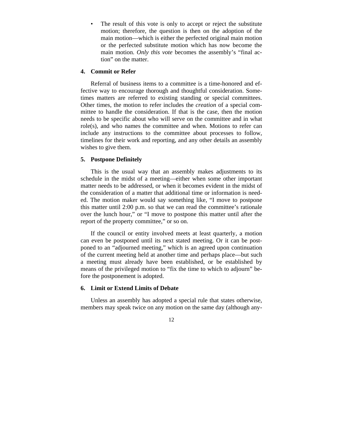The result of this vote is only to accept or reject the substitute motion; therefore, the question is then on the adoption of the main motion—which is either the perfected original main motion or the perfected substitute motion which has now become the main motion. *Only this vote* becomes the assembly's "final action" on the matter.

### **4. Commit or Refer**

Referral of business items to a committee is a time-honored and effective way to encourage thorough and thoughtful consideration. Sometimes matters are referred to existing standing or special committees. Other times, the motion to refer includes the *creation* of a special committee to handle the consideration. If that is the case, then the motion needs to be specific about who will serve on the committee and in what role(s), and who names the committee and when. Motions to refer can include any instructions to the committee about processes to follow, timelines for their work and reporting, and any other details an assembly wishes to give them.

#### **5. Postpone Definitely**

This is the usual way that an assembly makes adjustments to its schedule in the midst of a meeting—either when some other important matter needs to be addressed, or when it becomes evident in the midst of the consideration of a matter that additional time or information is needed. The motion maker would say something like, "I move to postpone this matter until 2:00 p.m. so that we can read the committee's rationale over the lunch hour," or "I move to postpone this matter until after the report of the property committee," or so on.

If the council or entity involved meets at least quarterly, a motion can even be postponed until its next stated meeting. Or it can be postponed to an "adjourned meeting," which is an agreed upon continuation of the current meeting held at another time and perhaps place—but such a meeting must already have been established, or be established by means of the privileged motion to "fix the time to which to adjourn" before the postponement is adopted.

## **6. Limit or Extend Limits of Debate**

Unless an assembly has adopted a special rule that states otherwise, members may speak twice on any motion on the same day (although any-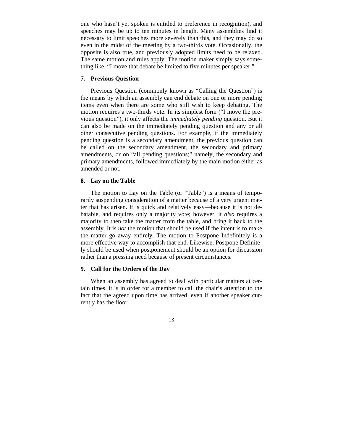one who hasn't yet spoken is entitled to preference in recognition), and speeches may be up to ten minutes in length. Many assemblies find it necessary to limit speeches more severely than this, and they may do so even in the midst of the meeting by a two-thirds vote. Occasionally, the opposite is also true, and previously adopted limits need to be relaxed. The same motion and rules apply. The motion maker simply says something like, "I move that debate be limited to five minutes per speaker."

## **7. Previous Question**

Previous Question (commonly known as "Calling the Question") is the means by which an assembly can end debate on one or more pending items even when there are some who still wish to keep debating. The motion requires a two-thirds vote. In its simplest form ("I move the previous question"), it only affects the *immediately pending* question. But it can also be made on the immediately pending question and any or all other consecutive pending questions. For example, if the immediately pending question is a secondary amendment, the previous question can be called on the secondary amendment, the secondary and primary amendments, or on "all pending questions;" namely, the secondary and primary amendments, followed immediately by the main motion either as amended or not.

#### **8. Lay on the Table**

The motion to Lay on the Table (or "Table") is a means of temporarily suspending consideration of a matter because of a very urgent matter that has arisen. It is quick and relatively easy—because it is not debatable, and requires only a majority vote; however, it *also* requires a majority to then take the matter from the table, and bring it back to the assembly. It is *not* the motion that should be used if the intent is to make the matter go away entirely. The motion to Postpone Indefinitely is a more effective way to accomplish that end. Likewise, Postpone Definitely should be used when postponement should be an option for discussion rather than a pressing need because of present circumstances.

#### **9. Call for the Orders of the Day**

When an assembly has agreed to deal with particular matters at certain times, it is in order for a member to call the chair's attention to the fact that the agreed upon time has arrived, even if another speaker currently has the floor.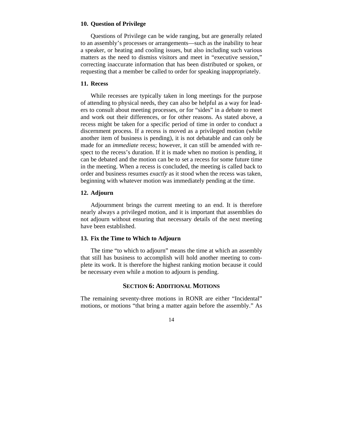### **10. Question of Privilege**

Questions of Privilege can be wide ranging, but are generally related to an assembly's processes or arrangements—such as the inability to hear a speaker, or heating and cooling issues, but also including such various matters as the need to dismiss visitors and meet in "executive session," correcting inaccurate information that has been distributed or spoken, or requesting that a member be called to order for speaking inappropriately.

# **11. Recess**

While recesses are typically taken in long meetings for the purpose of attending to physical needs, they can also be helpful as a way for leaders to consult about meeting processes, or for "sides" in a debate to meet and work out their differences, or for other reasons. As stated above, a recess might be taken for a specific period of time in order to conduct a discernment process. If a recess is moved as a privileged motion (while another item of business is pending), it is not debatable and can only be made for an *immediate* recess; however, it can still be amended with respect to the recess's duration. If it is made when no motion is pending, it can be debated and the motion can be to set a recess for some future time in the meeting. When a recess is concluded, the meeting is called back to order and business resumes *exactly* as it stood when the recess was taken, beginning with whatever motion was immediately pending at the time.

### **12. Adjourn**

Adjournment brings the current meeting to an end. It is therefore nearly always a privileged motion, and it is important that assemblies do not adjourn without ensuring that necessary details of the next meeting have been established.

### **13. Fix the Time to Which to Adjourn**

The time "to which to adjourn" means the time at which an assembly that still has business to accomplish will hold another meeting to complete its work. It is therefore the highest ranking motion because it could be necessary even while a motion to adjourn is pending.

# **SECTION 6: ADDITIONAL MOTIONS**

The remaining seventy-three motions in RONR are either "Incidental" motions, or motions "that bring a matter again before the assembly." As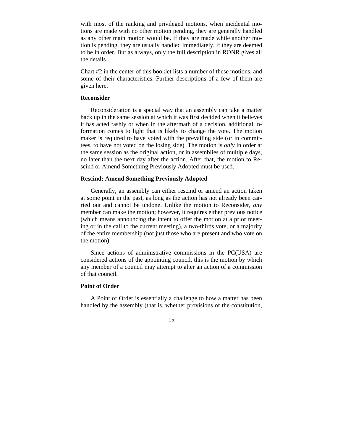with most of the ranking and privileged motions, when incidental motions are made with no other motion pending, they are generally handled as any other main motion would be. If they are made while another motion is pending, they are usually handled immediately, if they are deemed to be in order. But as always, only the full description in RONR gives all the details.

[Chart #2](#page-10-0) in the center of this booklet lists a number of these motions, and some of their characteristics. Further descriptions of a few of them are given here.

#### **Reconsider**

Reconsideration is a special way that an assembly can take a matter back up in the same session at which it was first decided when it believes it has acted rashly or when in the aftermath of a decision, additional information comes to light that is likely to change the vote. The motion maker is required to have voted with the prevailing side (or in committees, to have not voted on the losing side). The motion is *only* in order at the same session as the original action, or in assemblies of multiple days, no later than the next day after the action. After that, the motion to Rescind or Amend Something Previously Adopted must be used.

## **Rescind; Amend Something Previously Adopted**

Generally, an assembly can either rescind or amend an action taken at some point in the past, as long as the action has not already been carried out and cannot be undone. Unlike the motion to Reconsider, *any*  member can make the motion; however, it requires either previous notice (which means announcing the intent to offer the motion at a prior meeting or in the call to the current meeting), a two-thirds vote, or a majority of the entire membership (not just those who are present and who vote on the motion).

Since actions of administrative commissions in the PC(USA) are considered actions of the appointing council, this is the motion by which any member of a council may attempt to alter an action of a commission of that council.

# **Point of Order**

A Point of Order is essentially a challenge to how a matter has been handled by the assembly (that is, whether provisions of the constitution,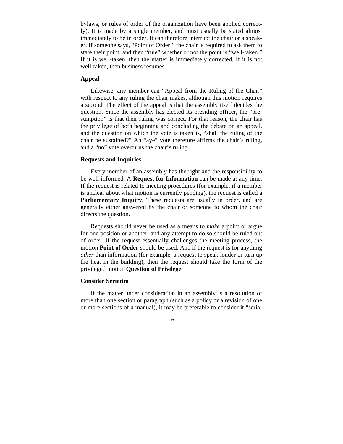bylaws, or rules of order of the organization have been applied correctly). It is made by a single member, and must usually be stated almost immediately to be in order. It can therefore interrupt the chair or a speaker. If someone says, "Point of Order!" the chair is required to ask them to state their point, and then "rule" whether or not the point is "well-taken." If it is well-taken, then the matter is immediately corrected. If it is not well-taken, then business resumes.

# **Appeal**

Likewise, any member can "Appeal from the Ruling of the Chair" with respect to any ruling the chair makes, although this motion requires a second. The effect of the appeal is that the assembly itself decides the question. Since the assembly has elected its presiding officer, the "presumption" is that their ruling was correct. For that reason, the chair has the privilege of both beginning and concluding the debate on an appeal, and the question on which the vote is taken is, "shall the ruling of the chair be sustained?" An "aye" vote therefore affirms the chair's ruling, and a "no" vote overturns the chair's ruling.

#### **Requests and Inquiries**

Every member of an assembly has the right and the responsibility to be well-informed. A **Request for Information** can be made at any time. If the request is related to meeting procedures (for example, if a member is unclear about what motion is currently pending), the request is called a **Parliamentary Inquiry**. These requests are usually in order, and are generally either answered by the chair or someone to whom the chair directs the question.

Requests should never be used as a means to *make* a point or argue for one position or another, and any attempt to do so should be ruled out of order. If the request essentially challenges the meeting process, the motion **Point of Order** should be used. And if the request is for anything *other* than information (for example, a request to speak louder or turn up the heat in the building), then the request should take the form of the privileged motion **Question of Privilege**.

#### **Consider Seriatim**

If the matter under consideration in an assembly is a resolution of more than one section or paragraph (such as a policy or a revision of one or more sections of a manual), it may be preferable to consider it "seria-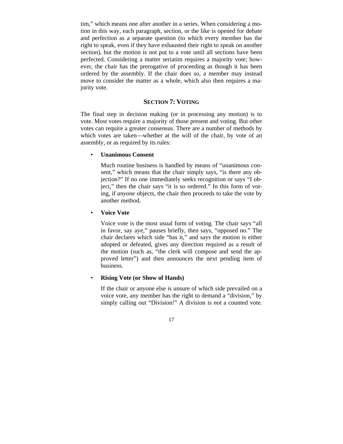tim," which means one after another in a series. When considering a motion in this way, each paragraph, section, or the like is opened for debate and perfection as a separate question (to which every member has the right to speak, even if they have exhausted their right to speak on another section), but the motion is not put to a vote until all sections have been perfected. Considering a matter seriatim requires a majority vote; however, the chair has the prerogative of proceeding as though it has been ordered by the assembly. If the chair does so, a member may instead move to consider the matter as a whole, which also then requires a majority vote.

# **SECTION 7: VOTING**

The final step in decision making (or in processing any motion) is to vote. Most votes require a majority of those present and voting. But other votes can require a greater consensus. There are a number of methods by which votes are taken—whether at the will of the chair, by vote of an assembly, or as required by its rules:

### • **Unanimous Consent**

Much routine business is handled by means of "unanimous consent," which means that the chair simply says, "is there any objection?" If no one immediately seeks recognition or says "I object," then the chair says "it is so ordered." In this form of voting, if *anyone* objects, the chair then proceeds to take the vote by another method.

#### • **Voice Vote**

Voice vote is the most usual form of voting. The chair says "all in favor, say aye," pauses briefly, then says, "opposed no." The chair declares which side "has it," and says the motion is either adopted or defeated, gives any direction required as a result of the motion (such as, "the clerk will compose and send the approved letter") and then announces the next pending item of business.

#### • **Rising Vote (or Show of Hands)**

If the chair or anyone else is unsure of which side prevailed on a voice vote, any member has the right to demand a "division," by simply calling out "Division!" A division is *not* a counted vote.